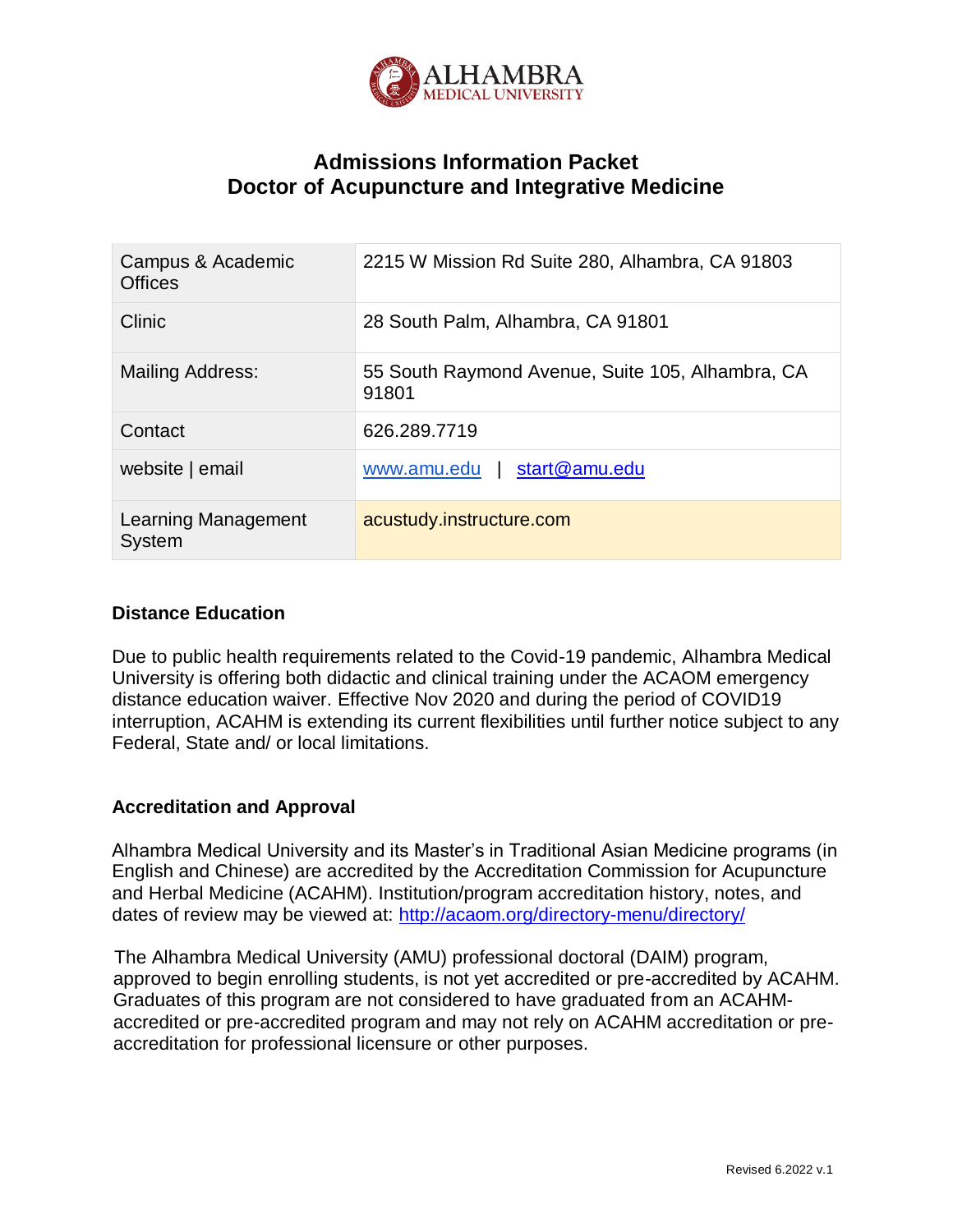

# **Admissions Information Packet Doctor of Acupuncture and Integrative Medicine**

| Campus & Academic<br><b>Offices</b> | 2215 W Mission Rd Suite 280, Alhambra, CA 91803           |
|-------------------------------------|-----------------------------------------------------------|
| Clinic                              | 28 South Palm, Alhambra, CA 91801                         |
| <b>Mailing Address:</b>             | 55 South Raymond Avenue, Suite 105, Alhambra, CA<br>91801 |
| Contact                             | 626.289.7719                                              |
| website   email                     | start@amu.edu<br>www.amu.edu                              |
| Learning Management<br>System       | acustudy.instructure.com                                  |

## **Distance Education**

Due to public health requirements related to the Covid-19 pandemic, Alhambra Medical University is offering both didactic and clinical training under the ACAOM emergency distance education waiver. Effective Nov 2020 and during the period of COVID19 interruption, ACAHM is extending its current flexibilities until further notice subject to any Federal, State and/ or local limitations.

# **Accreditation and Approval**

Alhambra Medical University and its Master's in Traditional Asian Medicine programs (in English and Chinese) are accredited by the Accreditation Commission for Acupuncture and Herbal Medicine (ACAHM). Institution/program accreditation history, notes, and dates of review may be viewed at:<http://acaom.org/directory-menu/directory/>

The Alhambra Medical University (AMU) professional doctoral (DAIM) program, approved to begin enrolling students, is not yet accredited or pre-accredited by ACAHM. Graduates of this program are not considered to have graduated from an ACAHMaccredited or pre-accredited program and may not rely on ACAHM accreditation or preaccreditation for professional licensure or other purposes.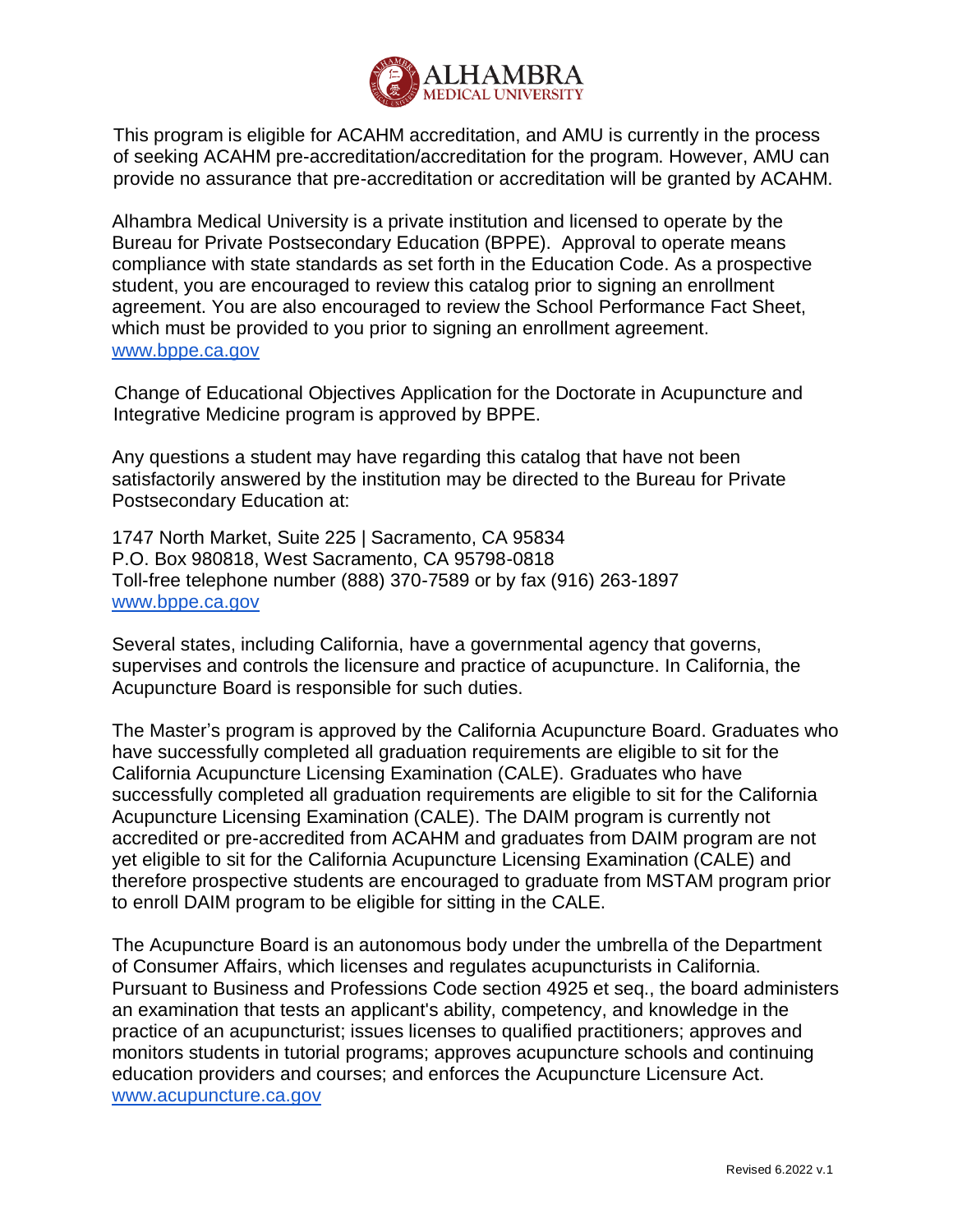

This program is eligible for ACAHM accreditation, and AMU is currently in the process of seeking ACAHM pre-accreditation/accreditation for the program. However, AMU can provide no assurance that pre-accreditation or accreditation will be granted by ACAHM.

Alhambra Medical University is a private institution and licensed to operate by the Bureau for Private Postsecondary Education (BPPE). Approval to operate means compliance with state standards as set forth in the Education Code. As a prospective student, you are encouraged to review this catalog prior to signing an enrollment agreement. You are also encouraged to review the School Performance Fact Sheet, which must be provided to you prior to signing an enrollment agreement. [www.bppe.ca.gov](http://www.bppe.ca.gov/)

Change of Educational Objectives Application for the Doctorate in Acupuncture and Integrative Medicine program is approved by BPPE.

Any questions a student may have regarding this catalog that have not been satisfactorily answered by the institution may be directed to the Bureau for Private Postsecondary Education at:

1747 North Market, Suite 225 | Sacramento, CA 95834 P.O. Box 980818, West Sacramento, CA 95798-0818 Toll-free telephone number (888) 370-7589 or by fax (916) 263-1897 [www.bppe.ca.gov](http://www.bppe.ca.gov/)

Several states, including California, have a governmental agency that governs, supervises and controls the licensure and practice of acupuncture. In California, the Acupuncture Board is responsible for such duties.

The Master's program is approved by the California Acupuncture Board. Graduates who have successfully completed all graduation requirements are eligible to sit for the California Acupuncture Licensing Examination (CALE). Graduates who have successfully completed all graduation requirements are eligible to sit for the California Acupuncture Licensing Examination (CALE). The DAIM program is currently not accredited or pre-accredited from ACAHM and graduates from DAIM program are not yet eligible to sit for the California Acupuncture Licensing Examination (CALE) and therefore prospective students are encouraged to graduate from MSTAM program prior to enroll DAIM program to be eligible for sitting in the CALE.

The Acupuncture Board is an autonomous body under the umbrella of the Department of Consumer Affairs, which licenses and regulates acupuncturists in California. Pursuant to Business and Professions Code section 4925 et seq., the board administers an examination that tests an applicant's ability, competency, and knowledge in the practice of an acupuncturist; issues licenses to qualified practitioners; approves and monitors students in tutorial programs; approves acupuncture schools and continuing education providers and courses; and enforces the Acupuncture Licensure Act. [www.acupuncture.ca.gov](http://www.acupuncture.ca.gov/)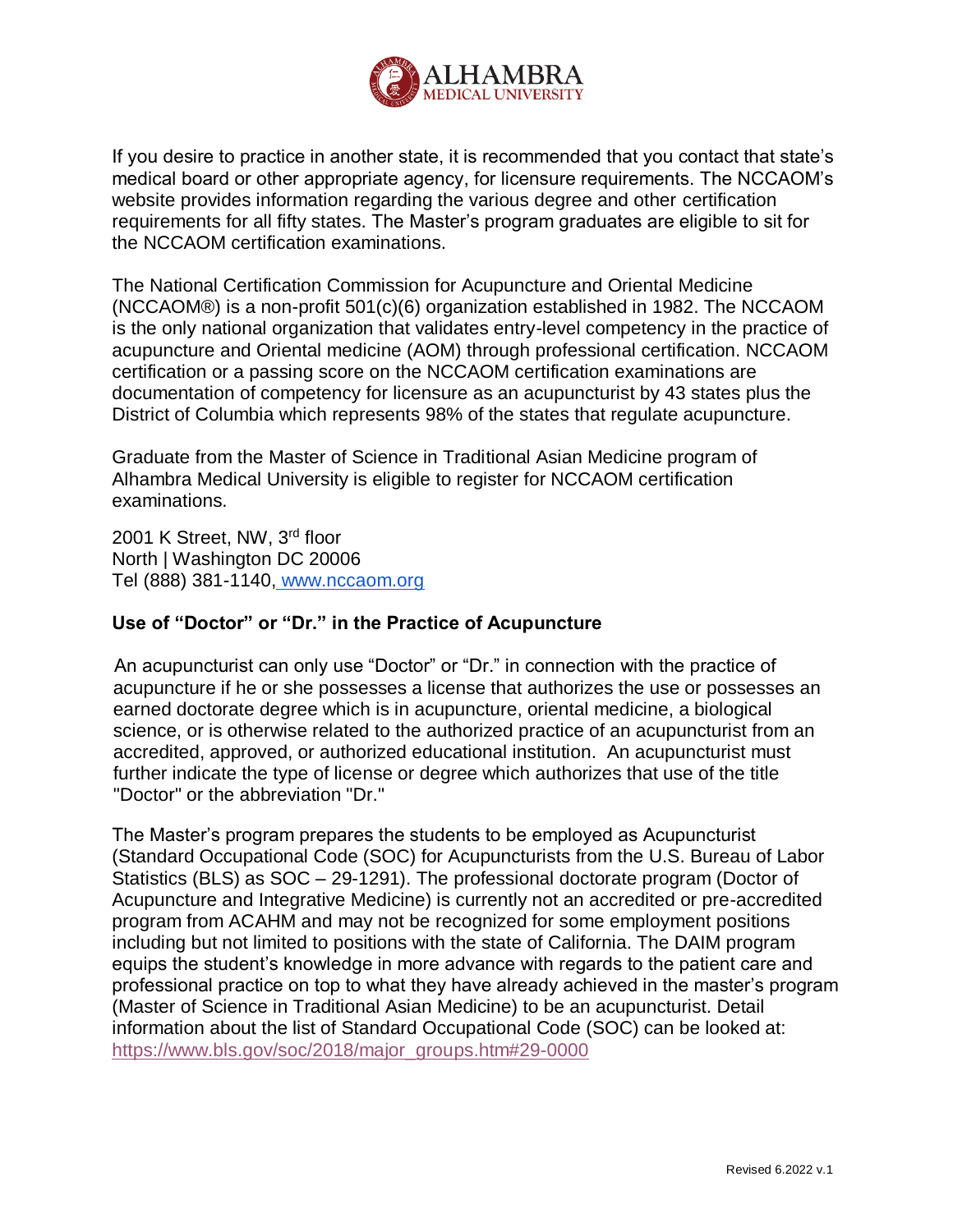

If you desire to practice in another state, it is recommended that you contact that state's medical board or other appropriate agency, for licensure requirements. The NCCAOM's website provides information regarding the various degree and other certification requirements for all fifty states. The Master's program graduates are eligible to sit for the NCCAOM certification examinations.

The National Certification Commission for Acupuncture and Oriental Medicine (NCCAOM®) is a non-profit 501(c)(6) organization established in 1982. The NCCAOM is the only national organization that validates entry-level competency in the practice of acupuncture and Oriental medicine (AOM) through professional certification. NCCAOM certification or a passing score on the NCCAOM certification examinations are documentation of competency for licensure as an acupuncturist by 43 states plus the District of Columbia which represents 98% of the states that regulate acupuncture.

Graduate from the Master of Science in Traditional Asian Medicine program of Alhambra Medical University is eligible to register for NCCAOM certification examinations.

2001 K Street, NW, 3rd floor North | Washington DC 20006 Tel (888) 381-1140, [www.nccaom.org](http://www.nccaom.org/)

# **Use of "Doctor" or "Dr." in the Practice of Acupuncture**

An acupuncturist can only use "Doctor" or "Dr." in connection with the practice of acupuncture if he or she possesses a license that authorizes the use or possesses an earned doctorate degree which is in acupuncture, oriental medicine, a biological science, or is otherwise related to the authorized practice of an acupuncturist from an accredited, approved, or authorized educational institution. An acupuncturist must further indicate the type of license or degree which authorizes that use of the title "Doctor" or the abbreviation "Dr."

The Master's program prepares the students to be employed as Acupuncturist (Standard Occupational Code (SOC) for Acupuncturists from the U.S. Bureau of Labor Statistics (BLS) as SOC – 29-1291). The professional doctorate program (Doctor of Acupuncture and Integrative Medicine) is currently not an accredited or pre-accredited program from ACAHM and may not be recognized for some employment positions including but not limited to positions with the state of California. The DAIM program equips the student's knowledge in more advance with regards to the patient care and professional practice on top to what they have already achieved in the master's program (Master of Science in Traditional Asian Medicine) to be an acupuncturist. Detail information about the list of Standard Occupational Code (SOC) can be looked at: [https://www.bls.gov/soc/2018/major\\_groups.htm#29-0000](https://www.bls.gov/soc/2018/major_groups.htm#29-0000)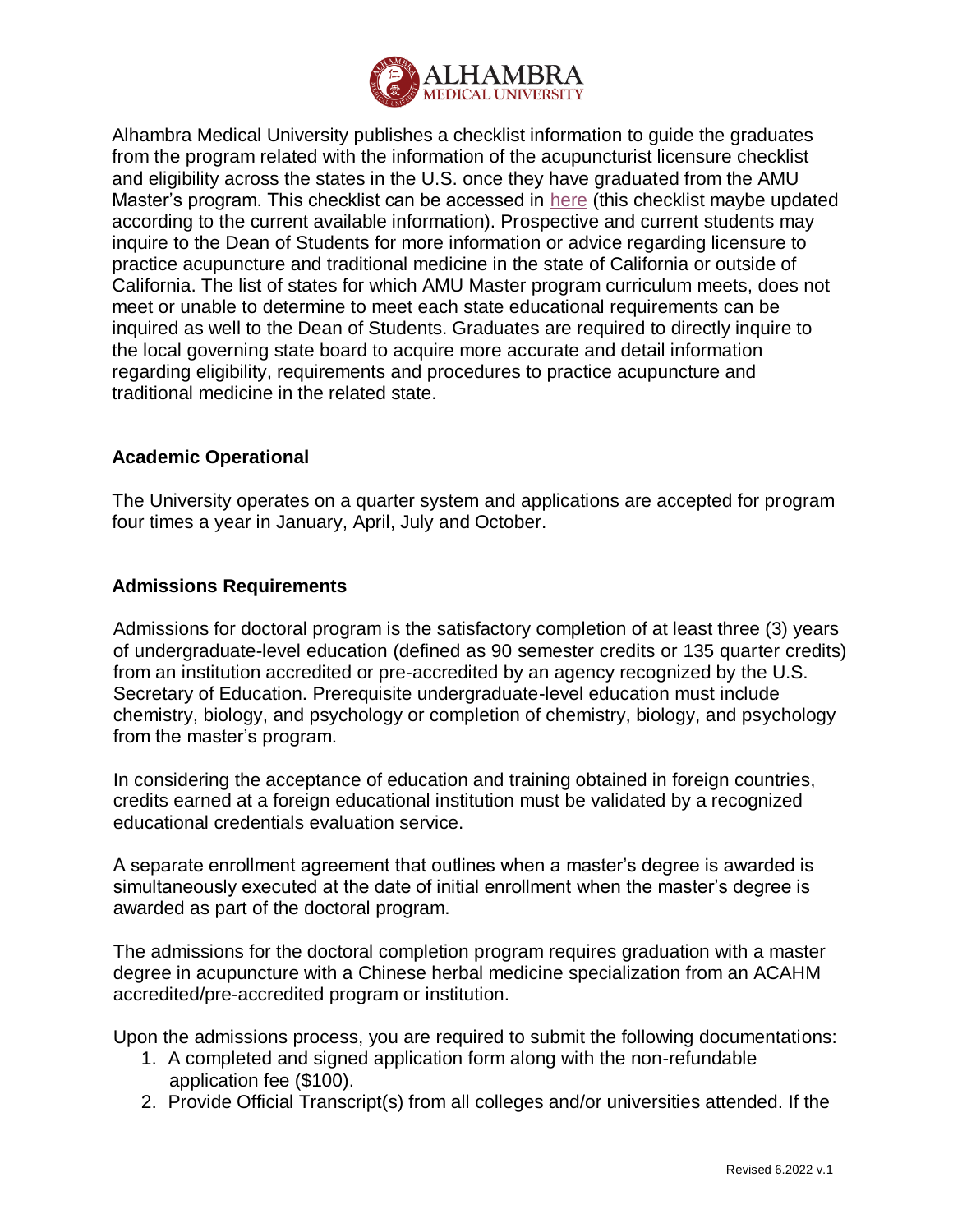

Alhambra Medical University publishes a checklist information to guide the graduates from the program related with the information of the acupuncturist licensure checklist and eligibility across the states in the U.S. once they have graduated from the AMU Master's program. This checklist can be accessed in [here](https://drive.google.com/drive/folders/1hPy7kkMa2NZ_iN4X1IIPGPdkt6dznriD?usp=sharing) (this checklist maybe updated according to the current available information). Prospective and current students may inquire to the Dean of Students for more information or advice regarding licensure to practice acupuncture and traditional medicine in the state of California or outside of California. The list of states for which AMU Master program curriculum meets, does not meet or unable to determine to meet each state educational requirements can be inquired as well to the Dean of Students. Graduates are required to directly inquire to the local governing state board to acquire more accurate and detail information regarding eligibility, requirements and procedures to practice acupuncture and traditional medicine in the related state.

# **Academic Operational**

The University operates on a quarter system and applications are accepted for program four times a year in January, April, July and October.

# **Admissions Requirements**

Admissions for doctoral program is the satisfactory completion of at least three (3) years of undergraduate-level education (defined as 90 semester credits or 135 quarter credits) from an institution accredited or pre-accredited by an agency recognized by the U.S. Secretary of Education. Prerequisite undergraduate-level education must include chemistry, biology, and psychology or completion of chemistry, biology, and psychology from the master's program.

In considering the acceptance of education and training obtained in foreign countries, credits earned at a foreign educational institution must be validated by a recognized educational credentials evaluation service.

A separate enrollment agreement that outlines when a master's degree is awarded is simultaneously executed at the date of initial enrollment when the master's degree is awarded as part of the doctoral program.

The admissions for the doctoral completion program requires graduation with a master degree in acupuncture with a Chinese herbal medicine specialization from an ACAHM accredited/pre-accredited program or institution.

Upon the admissions process, you are required to submit the following documentations:

- 1. A completed and signed application form along with the non-refundable application fee (\$100).
- 2. Provide Official Transcript(s) from all colleges and/or universities attended. If the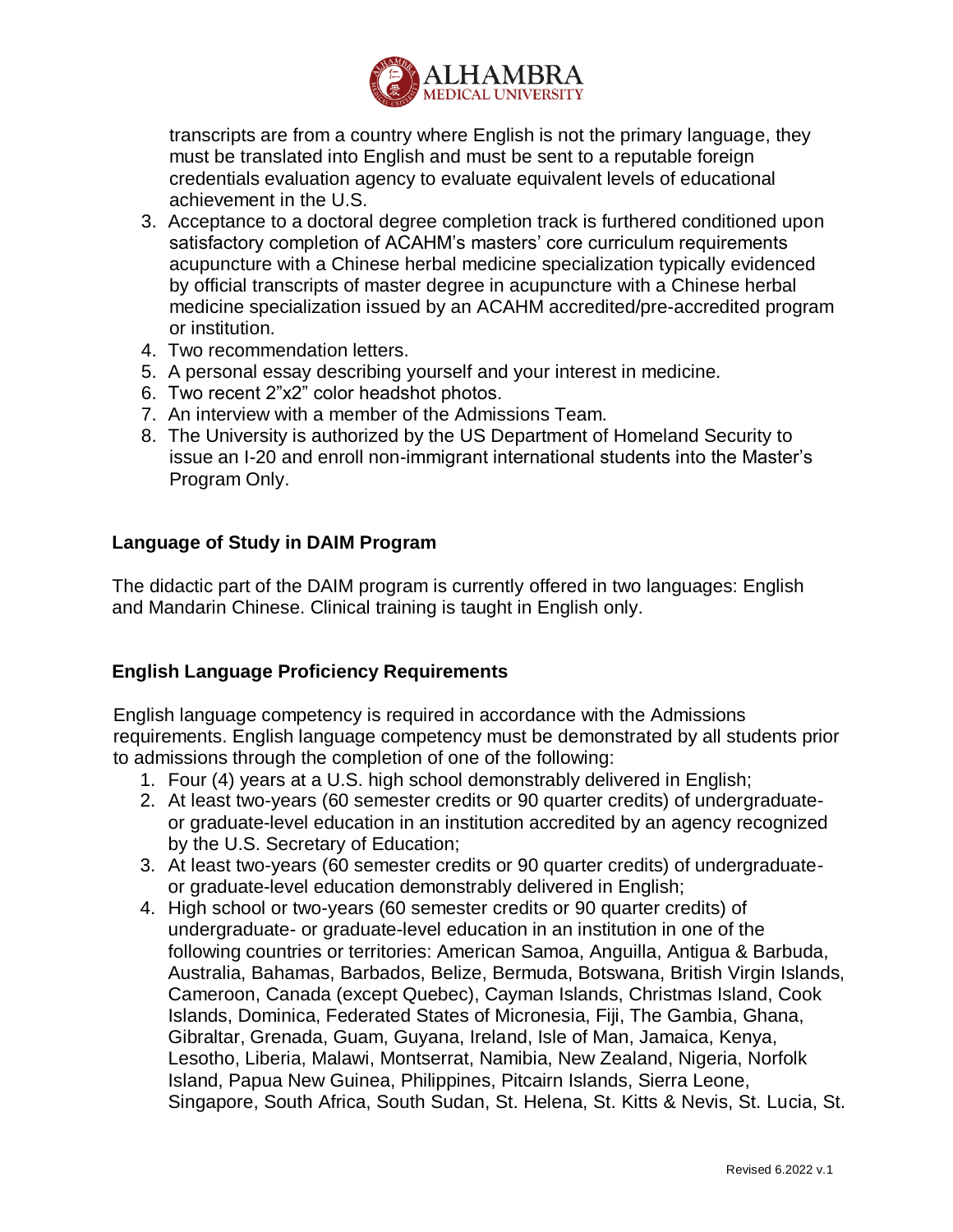

transcripts are from a country where English is not the primary language, they must be translated into English and must be sent to a reputable foreign credentials evaluation agency to evaluate equivalent levels of educational achievement in the U.S.

- 3. Acceptance to a doctoral degree completion track is furthered conditioned upon satisfactory completion of ACAHM's masters' core curriculum requirements acupuncture with a Chinese herbal medicine specialization typically evidenced by official transcripts of master degree in acupuncture with a Chinese herbal medicine specialization issued by an ACAHM accredited/pre-accredited program or institution.
- 4. Two recommendation letters.
- 5. A personal essay describing yourself and your interest in medicine.
- 6. Two recent 2"x2" color headshot photos.
- 7. An interview with a member of the Admissions Team.
- 8. The University is authorized by the US Department of Homeland Security to issue an I-20 and enroll non-immigrant international students into the Master's Program Only.

# **Language of Study in DAIM Program**

The didactic part of the DAIM program is currently offered in two languages: English and Mandarin Chinese. Clinical training is taught in English only.

# **English Language Proficiency Requirements**

English language competency is required in accordance with the Admissions requirements. English language competency must be demonstrated by all students prior to admissions through the completion of one of the following:

- 1. Four (4) years at a U.S. high school demonstrably delivered in English;
- 2. At least two-years (60 semester credits or 90 quarter credits) of undergraduateor graduate-level education in an institution accredited by an agency recognized by the U.S. Secretary of Education;
- 3. At least two-years (60 semester credits or 90 quarter credits) of undergraduateor graduate-level education demonstrably delivered in English;
- 4. High school or two-years (60 semester credits or 90 quarter credits) of undergraduate- or graduate-level education in an institution in one of the following countries or territories: American Samoa, Anguilla, Antigua & Barbuda, Australia, Bahamas, Barbados, Belize, Bermuda, Botswana, British Virgin Islands, Cameroon, Canada (except Quebec), Cayman Islands, Christmas Island, Cook Islands, Dominica, Federated States of Micronesia, Fiji, The Gambia, Ghana, Gibraltar, Grenada, Guam, Guyana, Ireland, Isle of Man, Jamaica, Kenya, Lesotho, Liberia, Malawi, Montserrat, Namibia, New Zealand, Nigeria, Norfolk Island, Papua New Guinea, Philippines, Pitcairn Islands, Sierra Leone, Singapore, South Africa, South Sudan, St. Helena, St. Kitts & Nevis, St. Lucia, St.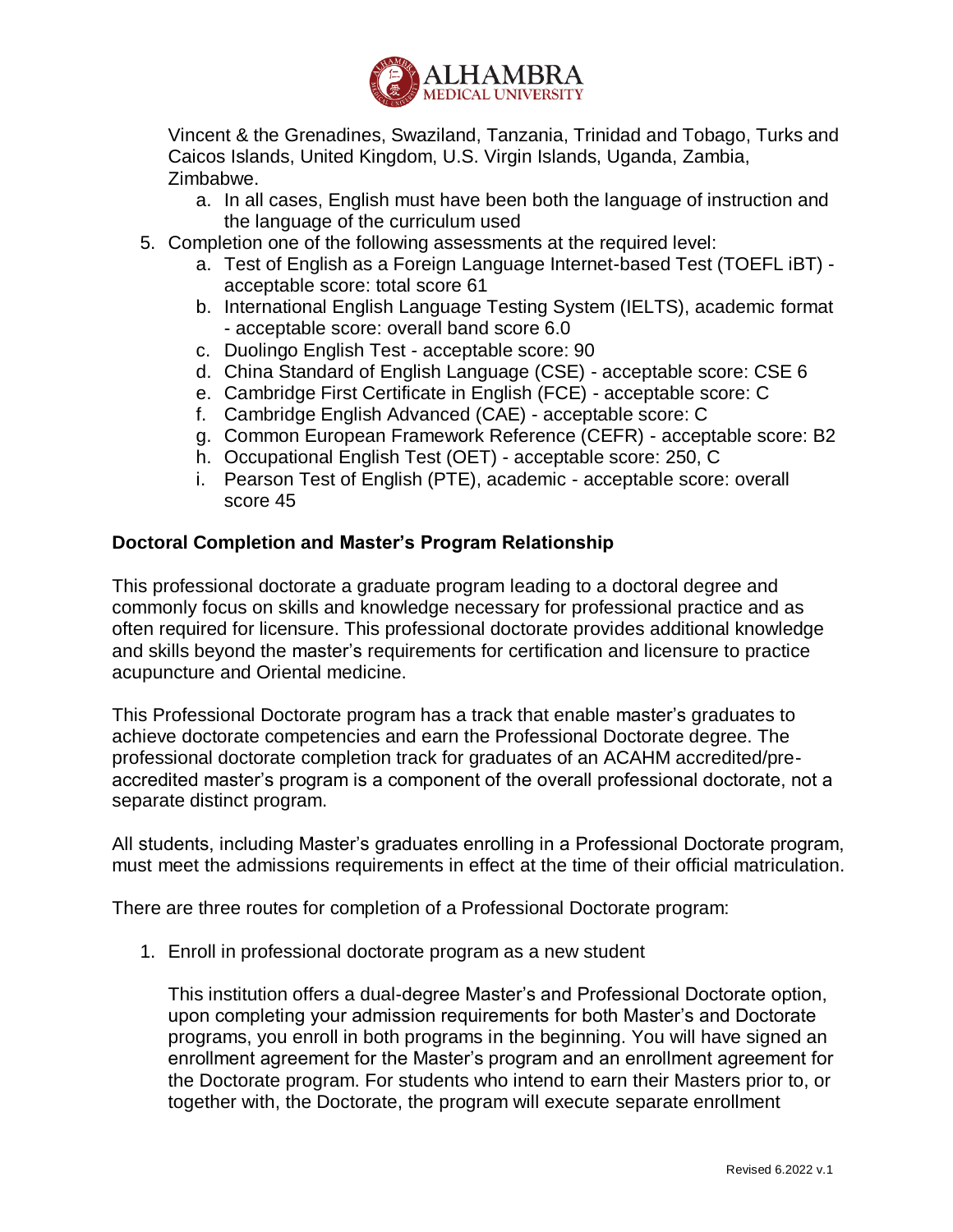

Vincent & the Grenadines, Swaziland, Tanzania, Trinidad and Tobago, Turks and Caicos Islands, United Kingdom, U.S. Virgin Islands, Uganda, Zambia, Zimbabwe.

- a. In all cases, English must have been both the language of instruction and the language of the curriculum used
- 5. Completion one of the following assessments at the required level:
	- a. Test of English as a Foreign Language Internet-based Test (TOEFL iBT) acceptable score: total score 61
	- b. International English Language Testing System (IELTS), academic format - acceptable score: overall band score 6.0
	- c. Duolingo English Test acceptable score: 90
	- d. China Standard of English Language (CSE) acceptable score: CSE 6
	- e. Cambridge First Certificate in English (FCE) acceptable score: C
	- f. Cambridge English Advanced (CAE) acceptable score: C
	- g. Common European Framework Reference (CEFR) acceptable score: B2
	- h. Occupational English Test (OET) acceptable score: 250, C
	- i. Pearson Test of English (PTE), academic acceptable score: overall score 45

## **Doctoral Completion and Master's Program Relationship**

This professional doctorate a graduate program leading to a doctoral degree and commonly focus on skills and knowledge necessary for professional practice and as often required for licensure. This professional doctorate provides additional knowledge and skills beyond the master's requirements for certification and licensure to practice acupuncture and Oriental medicine.

This Professional Doctorate program has a track that enable master's graduates to achieve doctorate competencies and earn the Professional Doctorate degree. The professional doctorate completion track for graduates of an ACAHM accredited/preaccredited master's program is a component of the overall professional doctorate, not a separate distinct program.

All students, including Master's graduates enrolling in a Professional Doctorate program, must meet the admissions requirements in effect at the time of their official matriculation.

There are three routes for completion of a Professional Doctorate program:

1. Enroll in professional doctorate program as a new student

This institution offers a dual-degree Master's and Professional Doctorate option, upon completing your admission requirements for both Master's and Doctorate programs, you enroll in both programs in the beginning. You will have signed an enrollment agreement for the Master's program and an enrollment agreement for the Doctorate program. For students who intend to earn their Masters prior to, or together with, the Doctorate, the program will execute separate enrollment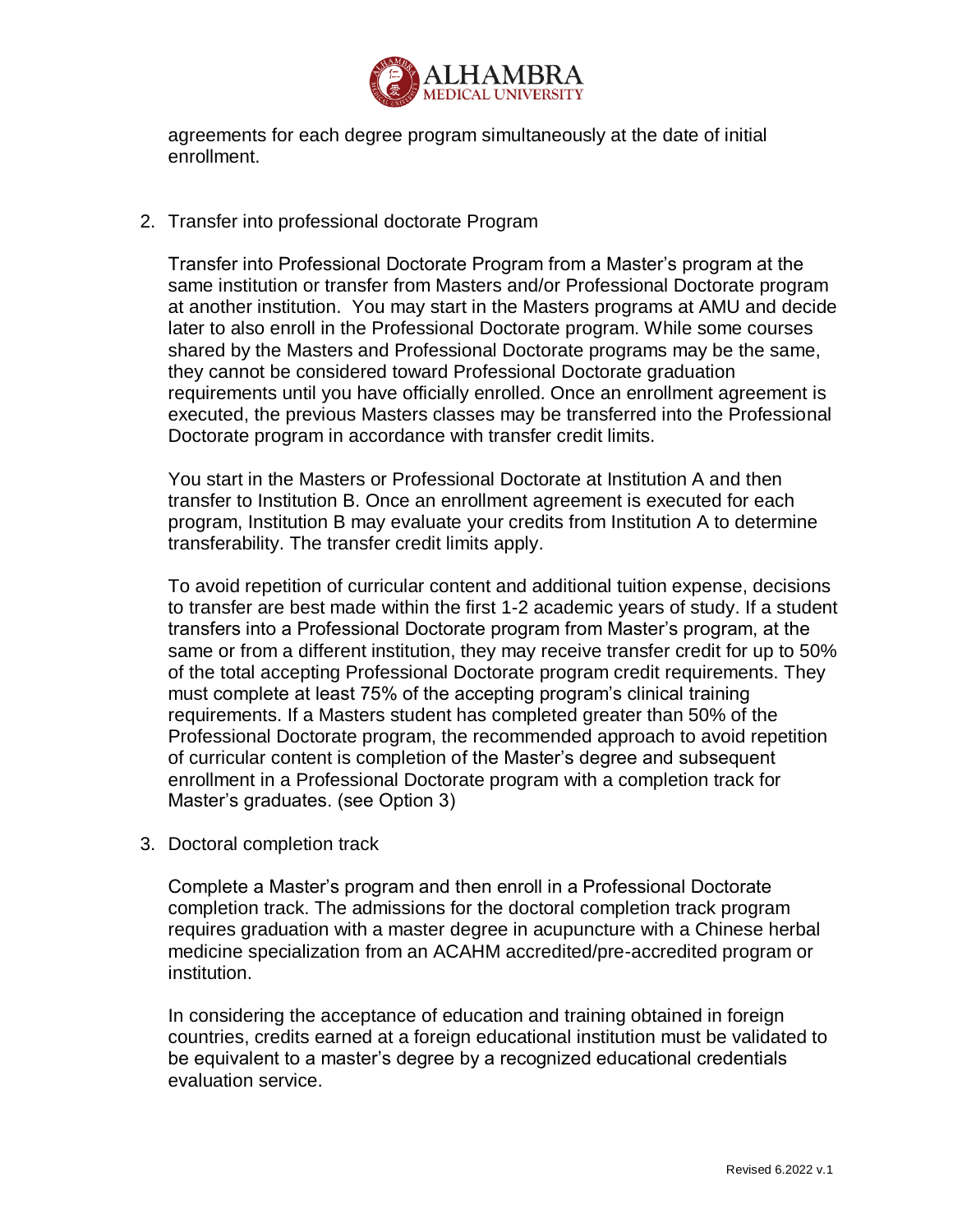

agreements for each degree program simultaneously at the date of initial enrollment.

2. Transfer into professional doctorate Program

Transfer into Professional Doctorate Program from a Master's program at the same institution or transfer from Masters and/or Professional Doctorate program at another institution. You may start in the Masters programs at AMU and decide later to also enroll in the Professional Doctorate program. While some courses shared by the Masters and Professional Doctorate programs may be the same, they cannot be considered toward Professional Doctorate graduation requirements until you have officially enrolled. Once an enrollment agreement is executed, the previous Masters classes may be transferred into the Professional Doctorate program in accordance with transfer credit limits.

You start in the Masters or Professional Doctorate at Institution A and then transfer to Institution B. Once an enrollment agreement is executed for each program, Institution B may evaluate your credits from Institution A to determine transferability. The transfer credit limits apply.

To avoid repetition of curricular content and additional tuition expense, decisions to transfer are best made within the first 1-2 academic years of study. If a student transfers into a Professional Doctorate program from Master's program, at the same or from a different institution, they may receive transfer credit for up to 50% of the total accepting Professional Doctorate program credit requirements. They must complete at least 75% of the accepting program's clinical training requirements. If a Masters student has completed greater than 50% of the Professional Doctorate program, the recommended approach to avoid repetition of curricular content is completion of the Master's degree and subsequent enrollment in a Professional Doctorate program with a completion track for Master's graduates. (see Option 3)

3. Doctoral completion track

Complete a Master's program and then enroll in a Professional Doctorate completion track. The admissions for the doctoral completion track program requires graduation with a master degree in acupuncture with a Chinese herbal medicine specialization from an ACAHM accredited/pre-accredited program or institution.

In considering the acceptance of education and training obtained in foreign countries, credits earned at a foreign educational institution must be validated to be equivalent to a master's degree by a recognized educational credentials evaluation service.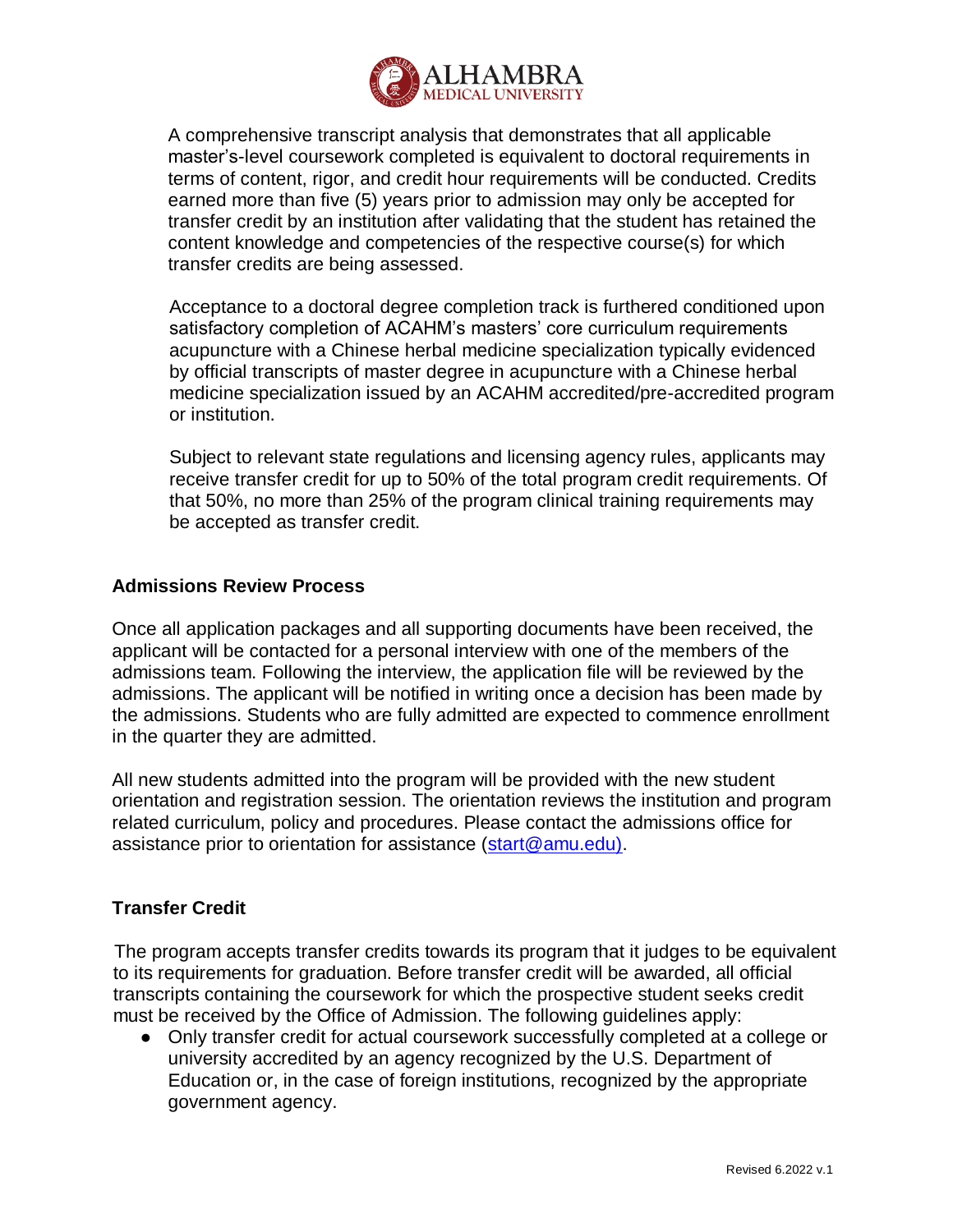

A comprehensive transcript analysis that demonstrates that all applicable master's-level coursework completed is equivalent to doctoral requirements in terms of content, rigor, and credit hour requirements will be conducted. Credits earned more than five (5) years prior to admission may only be accepted for transfer credit by an institution after validating that the student has retained the content knowledge and competencies of the respective course(s) for which transfer credits are being assessed.

Acceptance to a doctoral degree completion track is furthered conditioned upon satisfactory completion of ACAHM's masters' core curriculum requirements acupuncture with a Chinese herbal medicine specialization typically evidenced by official transcripts of master degree in acupuncture with a Chinese herbal medicine specialization issued by an ACAHM accredited/pre-accredited program or institution.

Subject to relevant state regulations and licensing agency rules, applicants may receive transfer credit for up to 50% of the total program credit requirements. Of that 50%, no more than 25% of the program clinical training requirements may be accepted as transfer credit.

#### **Admissions Review Process**

Once all application packages and all supporting documents have been received, the applicant will be contacted for a personal interview with one of the members of the admissions team. Following the interview, the application file will be reviewed by the admissions. The applicant will be notified in writing once a decision has been made by the admissions. Students who are fully admitted are expected to commence enrollment in the quarter they are admitted.

All new students admitted into the program will be provided with the new student orientation and registration session. The orientation reviews the institution and program related curriculum, policy and procedures. Please contact the admissions office for assistance prior to orientation for assistance [\(start@amu.edu\).](mailto:start@amu.edu))

# **Transfer Credit**

The program accepts transfer credits towards its program that it judges to be equivalent to its requirements for graduation. Before transfer credit will be awarded, all official transcripts containing the coursework for which the prospective student seeks credit must be received by the Office of Admission. The following guidelines apply:

● Only transfer credit for actual coursework successfully completed at a college or university accredited by an agency recognized by the U.S. Department of Education or, in the case of foreign institutions, recognized by the appropriate government agency.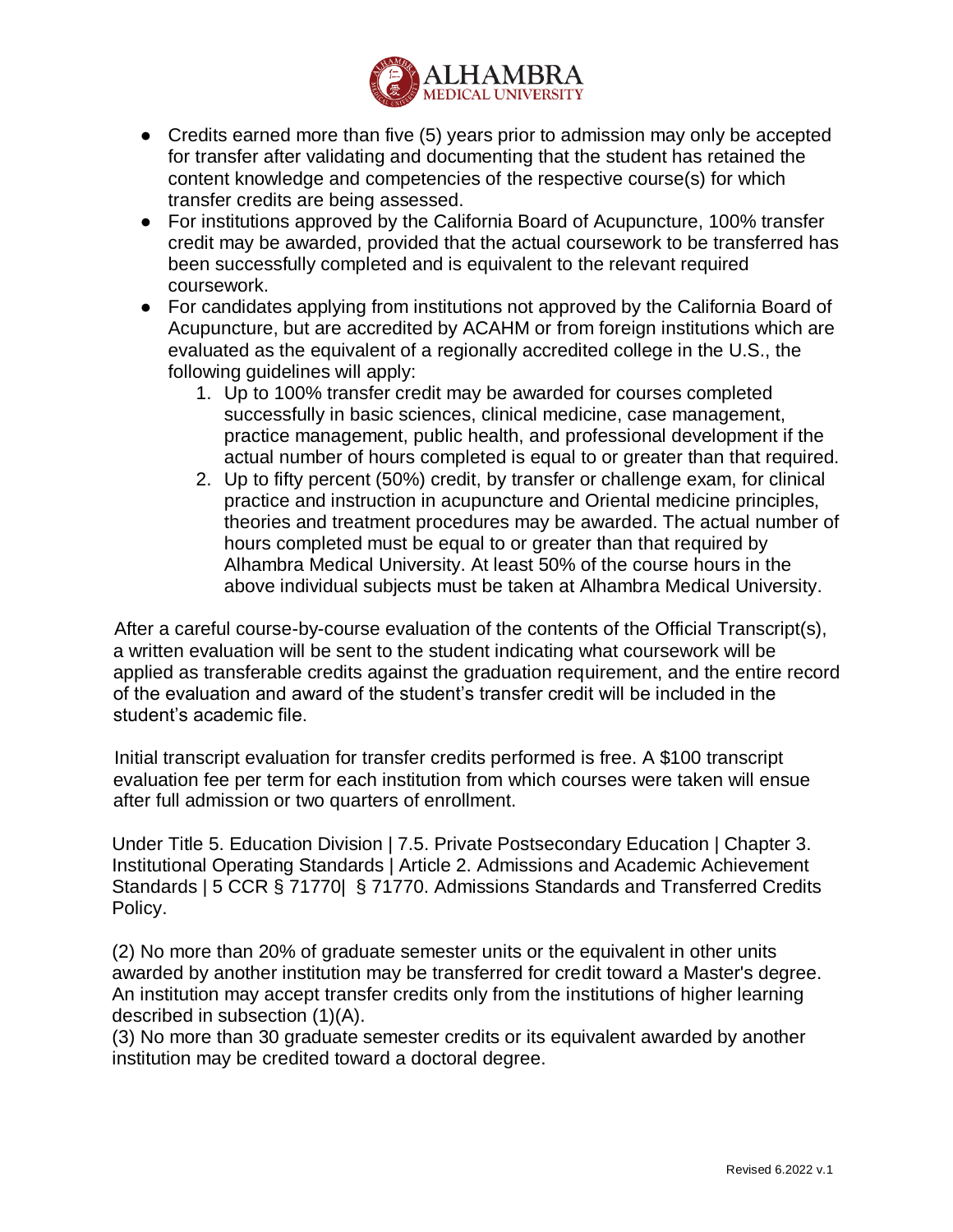

- Credits earned more than five (5) years prior to admission may only be accepted for transfer after validating and documenting that the student has retained the content knowledge and competencies of the respective course(s) for which transfer credits are being assessed.
- For institutions approved by the California Board of Acupuncture, 100% transfer credit may be awarded, provided that the actual coursework to be transferred has been successfully completed and is equivalent to the relevant required coursework.
- For candidates applying from institutions not approved by the California Board of Acupuncture, but are accredited by ACAHM or from foreign institutions which are evaluated as the equivalent of a regionally accredited college in the U.S., the following guidelines will apply:
	- 1. Up to 100% transfer credit may be awarded for courses completed successfully in basic sciences, clinical medicine, case management, practice management, public health, and professional development if the actual number of hours completed is equal to or greater than that required.
	- 2. Up to fifty percent (50%) credit, by transfer or challenge exam, for clinical practice and instruction in acupuncture and Oriental medicine principles, theories and treatment procedures may be awarded. The actual number of hours completed must be equal to or greater than that required by Alhambra Medical University. At least 50% of the course hours in the above individual subjects must be taken at Alhambra Medical University.

After a careful course-by-course evaluation of the contents of the Official Transcript(s), a written evaluation will be sent to the student indicating what coursework will be applied as transferable credits against the graduation requirement, and the entire record of the evaluation and award of the student's transfer credit will be included in the student's academic file.

Initial transcript evaluation for transfer credits performed is free. A \$100 transcript evaluation fee per term for each institution from which courses were taken will ensue after full admission or two quarters of enrollment.

Under Title 5. Education Division | 7.5. Private Postsecondary Education | Chapter 3. Institutional Operating Standards | Article 2. Admissions and Academic Achievement Standards | 5 CCR § 71770| § 71770. Admissions Standards and Transferred Credits Policy.

(2) No more than 20% of graduate semester units or the equivalent in other units awarded by another institution may be transferred for credit toward a Master's degree. An institution may accept transfer credits only from the institutions of higher learning described in subsection (1)(A).

(3) No more than 30 graduate semester credits or its equivalent awarded by another institution may be credited toward a doctoral degree.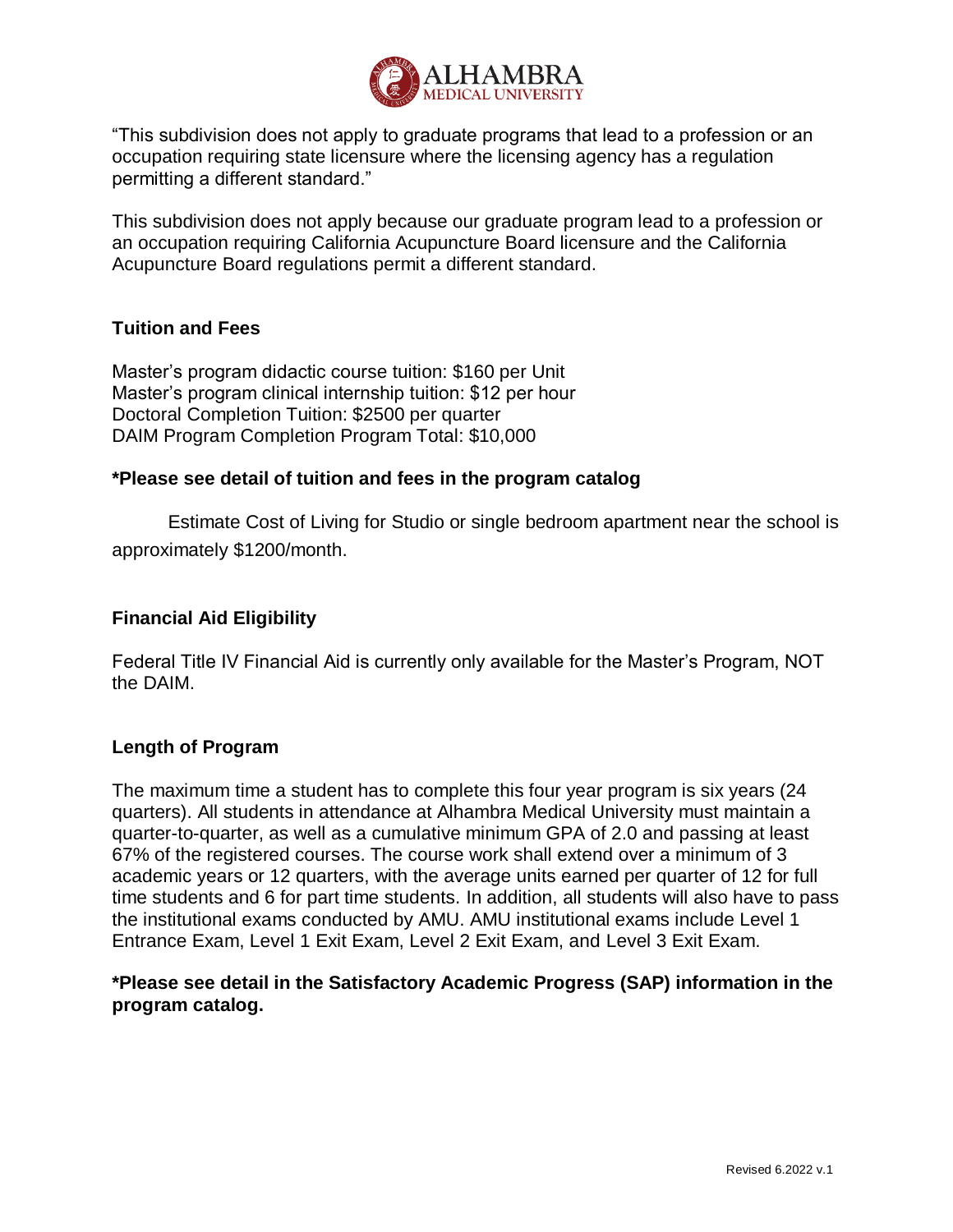

"This subdivision does not apply to graduate programs that lead to a profession or an occupation requiring state licensure where the licensing agency has a regulation permitting a different standard."

This subdivision does not apply because our graduate program lead to a profession or an occupation requiring California Acupuncture Board licensure and the California Acupuncture Board regulations permit a different standard.

## **Tuition and Fees**

Master's program didactic course tuition: \$160 per Unit Master's program clinical internship tuition: \$12 per hour Doctoral Completion Tuition: \$2500 per quarter DAIM Program Completion Program Total: \$10,000

#### **\*Please see detail of tuition and fees in the program catalog**

Estimate Cost of Living for Studio or single bedroom apartment near the school is approximately \$1200/month.

## **Financial Aid Eligibility**

Federal Title IV Financial Aid is currently only available for the Master's Program, NOT the DAIM.

#### **Length of Program**

The maximum time a student has to complete this four year program is six years (24 quarters). All students in attendance at Alhambra Medical University must maintain a quarter-to-quarter, as well as a cumulative minimum GPA of 2.0 and passing at least 67% of the registered courses. The course work shall extend over a minimum of 3 academic years or 12 quarters, with the average units earned per quarter of 12 for full time students and 6 for part time students. In addition, all students will also have to pass the institutional exams conducted by AMU. AMU institutional exams include Level 1 Entrance Exam, Level 1 Exit Exam, Level 2 Exit Exam, and Level 3 Exit Exam.

# **\*Please see detail in the Satisfactory Academic Progress (SAP) information in the program catalog.**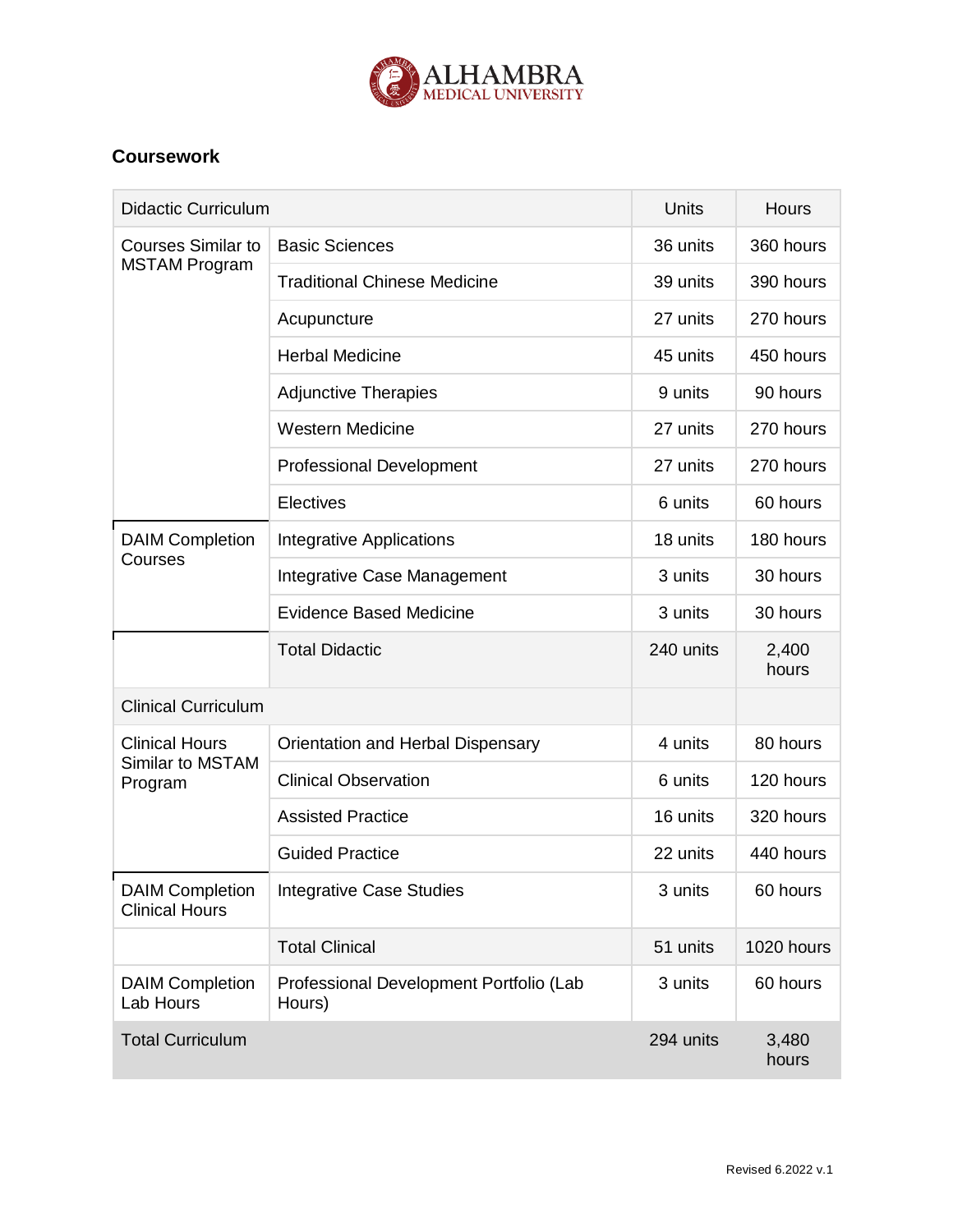

# **Coursework**

| <b>Didactic Curriculum</b>                           |                                                   | <b>Units</b> | <b>Hours</b>   |
|------------------------------------------------------|---------------------------------------------------|--------------|----------------|
| <b>Courses Similar to</b><br><b>MSTAM Program</b>    | <b>Basic Sciences</b>                             | 36 units     | 360 hours      |
|                                                      | <b>Traditional Chinese Medicine</b>               | 39 units     | 390 hours      |
|                                                      | Acupuncture                                       | 27 units     | 270 hours      |
|                                                      | <b>Herbal Medicine</b>                            | 45 units     | 450 hours      |
|                                                      | <b>Adjunctive Therapies</b>                       | 9 units      | 90 hours       |
|                                                      | <b>Western Medicine</b>                           | 27 units     | 270 hours      |
|                                                      | <b>Professional Development</b>                   | 27 units     | 270 hours      |
|                                                      | Electives                                         | 6 units      | 60 hours       |
| <b>DAIM Completion</b><br>Courses                    | <b>Integrative Applications</b>                   | 18 units     | 180 hours      |
|                                                      | Integrative Case Management                       | 3 units      | 30 hours       |
|                                                      | <b>Evidence Based Medicine</b>                    | 3 units      | 30 hours       |
|                                                      | <b>Total Didactic</b>                             | 240 units    | 2,400<br>hours |
| <b>Clinical Curriculum</b>                           |                                                   |              |                |
| <b>Clinical Hours</b><br>Similar to MSTAM<br>Program | Orientation and Herbal Dispensary                 | 4 units      | 80 hours       |
|                                                      | <b>Clinical Observation</b>                       | 6 units      | 120 hours      |
|                                                      | <b>Assisted Practice</b>                          | 16 units     | 320 hours      |
|                                                      | <b>Guided Practice</b>                            | 22 units     | 440 hours      |
| <b>DAIM Completion</b><br><b>Clinical Hours</b>      | <b>Integrative Case Studies</b>                   | 3 units      | 60 hours       |
|                                                      | <b>Total Clinical</b>                             | 51 units     | 1020 hours     |
| <b>DAIM Completion</b><br>Lab Hours                  | Professional Development Portfolio (Lab<br>Hours) | 3 units      | 60 hours       |
| <b>Total Curriculum</b>                              |                                                   | 294 units    | 3,480<br>hours |